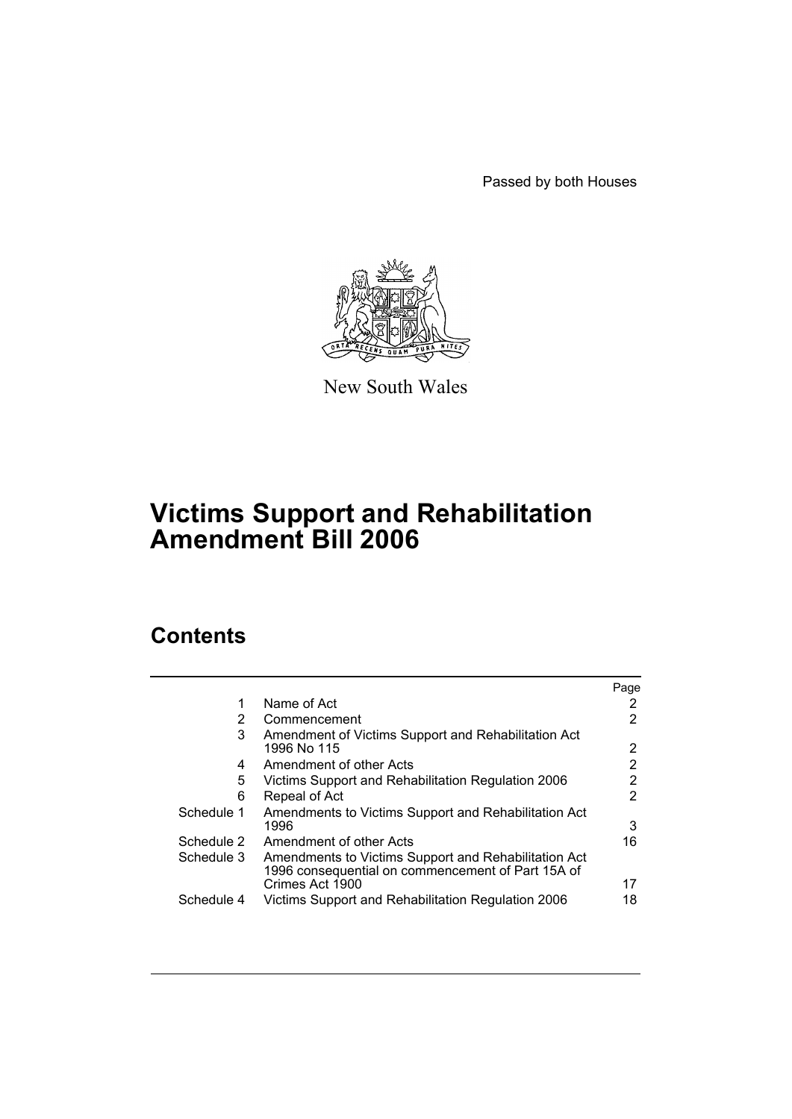Passed by both Houses



New South Wales

# **Victims Support and Rehabilitation Amendment Bill 2006**

# **Contents**

|            |                                                                                                           | Page |
|------------|-----------------------------------------------------------------------------------------------------------|------|
| 1          | Name of Act                                                                                               | 2    |
| 2          | Commencement                                                                                              | 2    |
| 3          | Amendment of Victims Support and Rehabilitation Act<br>1996 No 115                                        | 2    |
| 4          | Amendment of other Acts                                                                                   | 2    |
| 5          | Victims Support and Rehabilitation Regulation 2006                                                        | 2    |
| 6          | Repeal of Act                                                                                             | 2    |
| Schedule 1 | Amendments to Victims Support and Rehabilitation Act<br>1996                                              | 3    |
| Schedule 2 | Amendment of other Acts                                                                                   | 16   |
| Schedule 3 | Amendments to Victims Support and Rehabilitation Act<br>1996 consequential on commencement of Part 15A of |      |
|            | Crimes Act 1900                                                                                           | 17   |
| Schedule 4 | Victims Support and Rehabilitation Regulation 2006                                                        | 18   |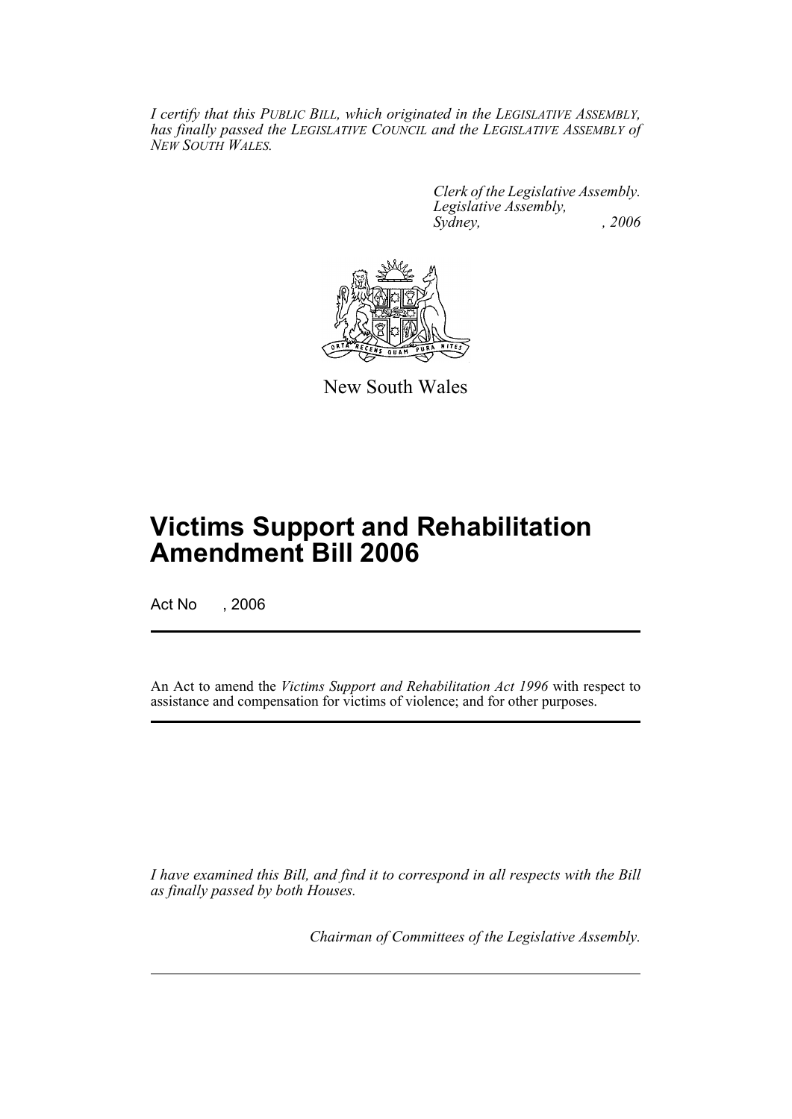*I certify that this PUBLIC BILL, which originated in the LEGISLATIVE ASSEMBLY, has finally passed the LEGISLATIVE COUNCIL and the LEGISLATIVE ASSEMBLY of NEW SOUTH WALES.*

> *Clerk of the Legislative Assembly. Legislative Assembly, Sydney, , 2006*



New South Wales

# **Victims Support and Rehabilitation Amendment Bill 2006**

Act No , 2006

An Act to amend the *Victims Support and Rehabilitation Act 1996* with respect to assistance and compensation for victims of violence; and for other purposes.

*I have examined this Bill, and find it to correspond in all respects with the Bill as finally passed by both Houses.*

*Chairman of Committees of the Legislative Assembly.*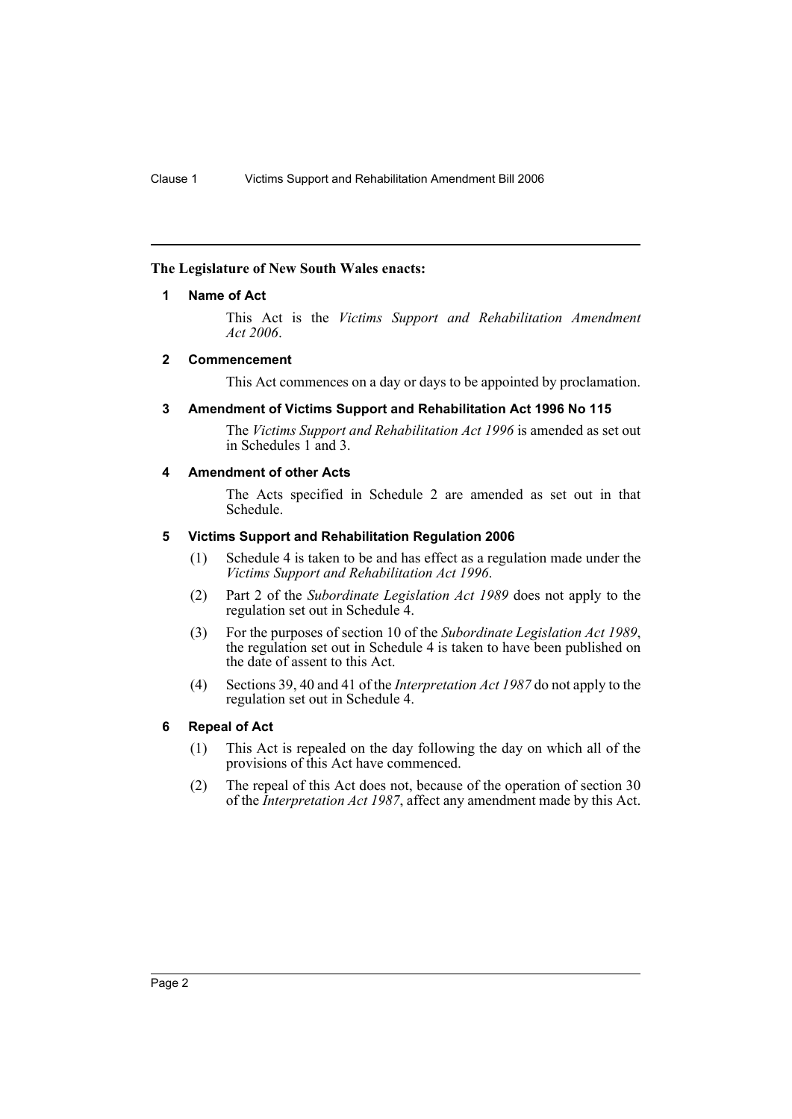### **The Legislature of New South Wales enacts:**

### **1 Name of Act**

This Act is the *Victims Support and Rehabilitation Amendment Act 2006*.

### **2 Commencement**

This Act commences on a day or days to be appointed by proclamation.

### **3 Amendment of Victims Support and Rehabilitation Act 1996 No 115**

The *Victims Support and Rehabilitation Act 1996* is amended as set out in Schedules 1 and 3.

### **4 Amendment of other Acts**

The Acts specified in Schedule 2 are amended as set out in that Schedule.

### **5 Victims Support and Rehabilitation Regulation 2006**

- (1) Schedule 4 is taken to be and has effect as a regulation made under the *Victims Support and Rehabilitation Act 1996*.
- (2) Part 2 of the *Subordinate Legislation Act 1989* does not apply to the regulation set out in Schedule 4.
- (3) For the purposes of section 10 of the *Subordinate Legislation Act 1989*, the regulation set out in Schedule 4 is taken to have been published on the date of assent to this Act.
- (4) Sections 39, 40 and 41 of the *Interpretation Act 1987* do not apply to the regulation set out in Schedule 4.

# **6 Repeal of Act**

- (1) This Act is repealed on the day following the day on which all of the provisions of this Act have commenced.
- (2) The repeal of this Act does not, because of the operation of section 30 of the *Interpretation Act 1987*, affect any amendment made by this Act.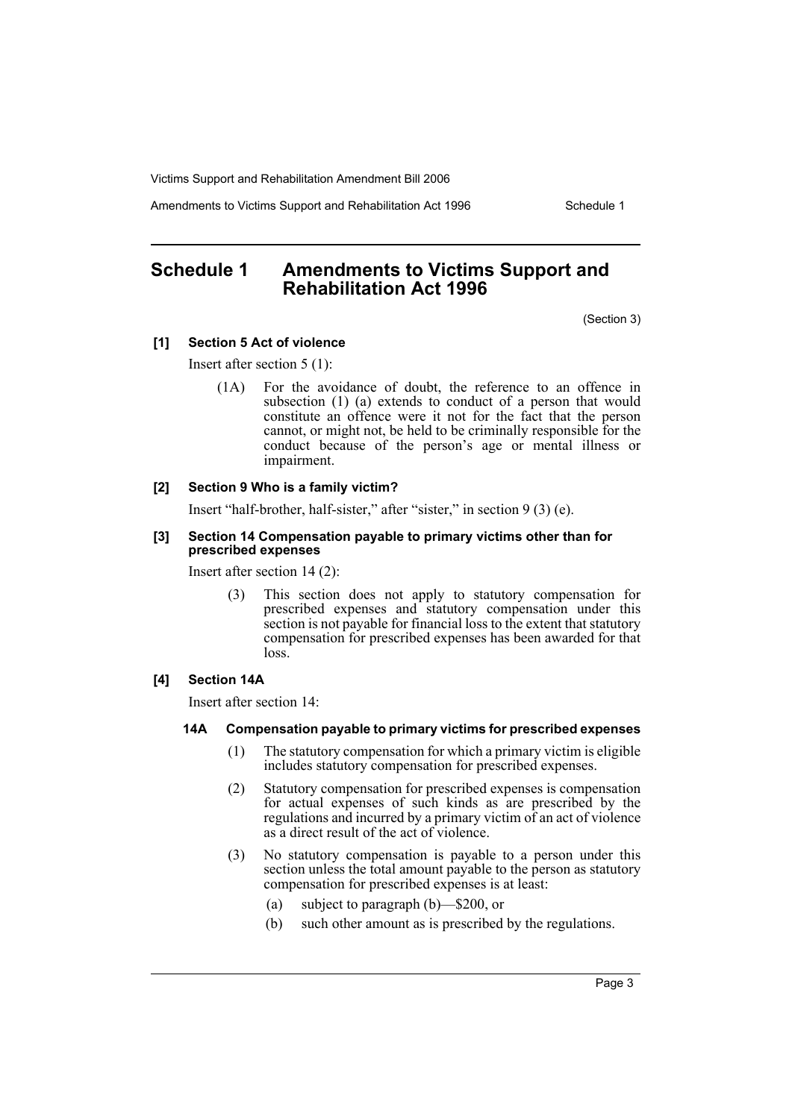Amendments to Victims Support and Rehabilitation Act 1996 Schedule 1

# **Schedule 1 Amendments to Victims Support and Rehabilitation Act 1996**

(Section 3)

# **[1] Section 5 Act of violence**

Insert after section 5 (1):

(1A) For the avoidance of doubt, the reference to an offence in subsection (1) (a) extends to conduct of a person that would constitute an offence were it not for the fact that the person cannot, or might not, be held to be criminally responsible for the conduct because of the person's age or mental illness or impairment.

#### **[2] Section 9 Who is a family victim?**

Insert "half-brother, half-sister," after "sister," in section 9 (3) (e).

#### **[3] Section 14 Compensation payable to primary victims other than for prescribed expenses**

Insert after section 14 (2):

(3) This section does not apply to statutory compensation for prescribed expenses and statutory compensation under this section is not payable for financial loss to the extent that statutory compensation for prescribed expenses has been awarded for that loss.

## **[4] Section 14A**

Insert after section 14:

#### **14A Compensation payable to primary victims for prescribed expenses**

- (1) The statutory compensation for which a primary victim is eligible includes statutory compensation for prescribed expenses.
- (2) Statutory compensation for prescribed expenses is compensation for actual expenses of such kinds as are prescribed by the regulations and incurred by a primary victim of an act of violence as a direct result of the act of violence.
- (3) No statutory compensation is payable to a person under this section unless the total amount payable to the person as statutory compensation for prescribed expenses is at least:
	- (a) subject to paragraph (b)—\$200, or
	- (b) such other amount as is prescribed by the regulations.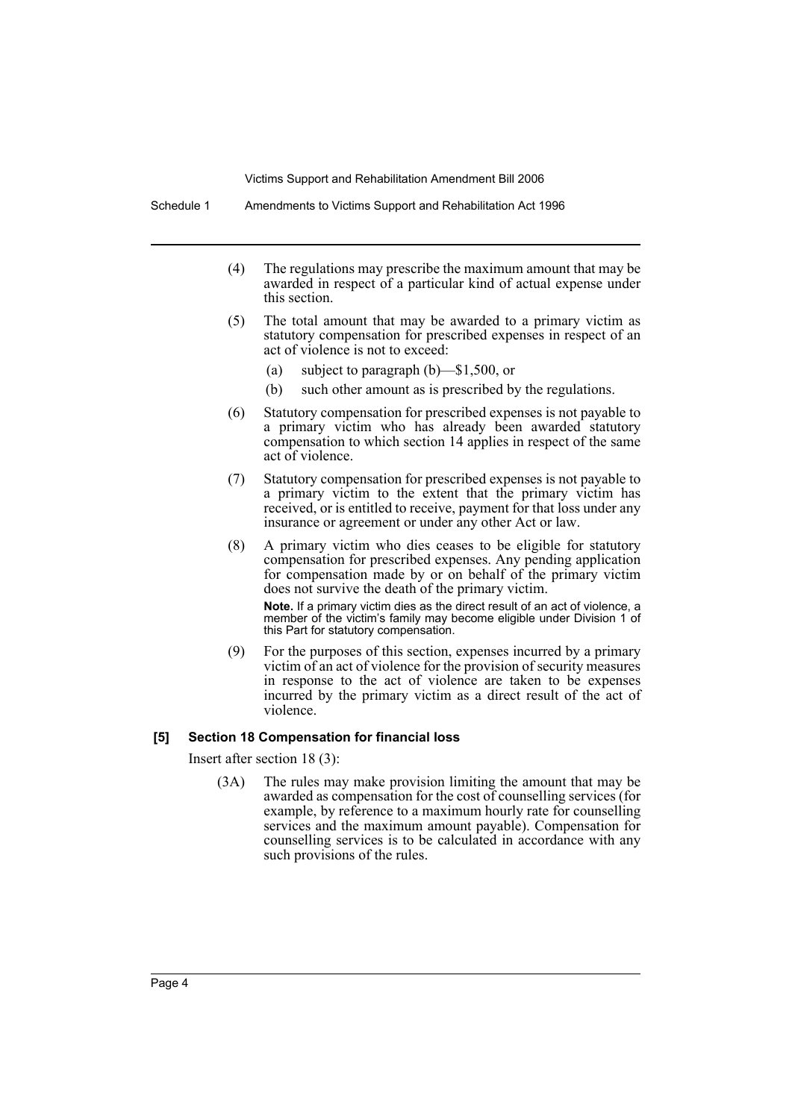Schedule 1 Amendments to Victims Support and Rehabilitation Act 1996

- (4) The regulations may prescribe the maximum amount that may be awarded in respect of a particular kind of actual expense under this section.
- (5) The total amount that may be awarded to a primary victim as statutory compensation for prescribed expenses in respect of an act of violence is not to exceed:
	- (a) subject to paragraph (b)—\$1,500, or
	- (b) such other amount as is prescribed by the regulations.
- (6) Statutory compensation for prescribed expenses is not payable to a primary victim who has already been awarded statutory compensation to which section 14 applies in respect of the same act of violence.
- (7) Statutory compensation for prescribed expenses is not payable to a primary victim to the extent that the primary victim has received, or is entitled to receive, payment for that loss under any insurance or agreement or under any other Act or law.
- (8) A primary victim who dies ceases to be eligible for statutory compensation for prescribed expenses. Any pending application for compensation made by or on behalf of the primary victim does not survive the death of the primary victim.

**Note.** If a primary victim dies as the direct result of an act of violence, a member of the victim's family may become eligible under Division 1 of this Part for statutory compensation.

(9) For the purposes of this section, expenses incurred by a primary victim of an act of violence for the provision of security measures in response to the act of violence are taken to be expenses incurred by the primary victim as a direct result of the act of violence.

## **[5] Section 18 Compensation for financial loss**

Insert after section 18 (3):

(3A) The rules may make provision limiting the amount that may be awarded as compensation for the cost of counselling services (for example, by reference to a maximum hourly rate for counselling services and the maximum amount payable). Compensation for counselling services is to be calculated in accordance with any such provisions of the rules.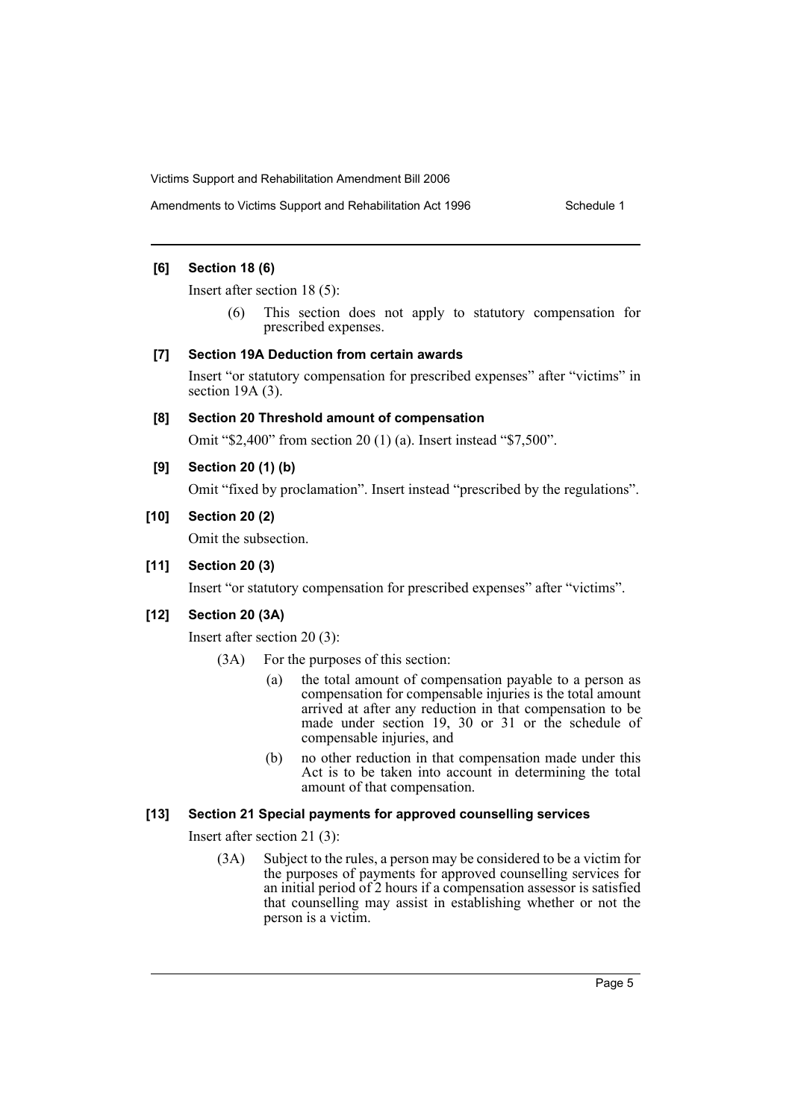## **[6] Section 18 (6)**

Insert after section 18 (5):

(6) This section does not apply to statutory compensation for prescribed expenses.

#### **[7] Section 19A Deduction from certain awards**

Insert "or statutory compensation for prescribed expenses" after "victims" in section 19A (3).

### **[8] Section 20 Threshold amount of compensation**

Omit "\$2,400" from section 20 (1) (a). Insert instead "\$7,500".

# **[9] Section 20 (1) (b)**

Omit "fixed by proclamation". Insert instead "prescribed by the regulations".

# **[10] Section 20 (2)**

Omit the subsection.

# **[11] Section 20 (3)**

Insert "or statutory compensation for prescribed expenses" after "victims".

# **[12] Section 20 (3A)**

Insert after section 20 (3):

- (3A) For the purposes of this section:
	- (a) the total amount of compensation payable to a person as compensation for compensable injuries is the total amount arrived at after any reduction in that compensation to be made under section 19, 30 or 31 or the schedule of compensable injuries, and
	- (b) no other reduction in that compensation made under this Act is to be taken into account in determining the total amount of that compensation.

# **[13] Section 21 Special payments for approved counselling services**

Insert after section 21 (3):

(3A) Subject to the rules, a person may be considered to be a victim for the purposes of payments for approved counselling services for an initial period of 2 hours if a compensation assessor is satisfied that counselling may assist in establishing whether or not the person is a victim.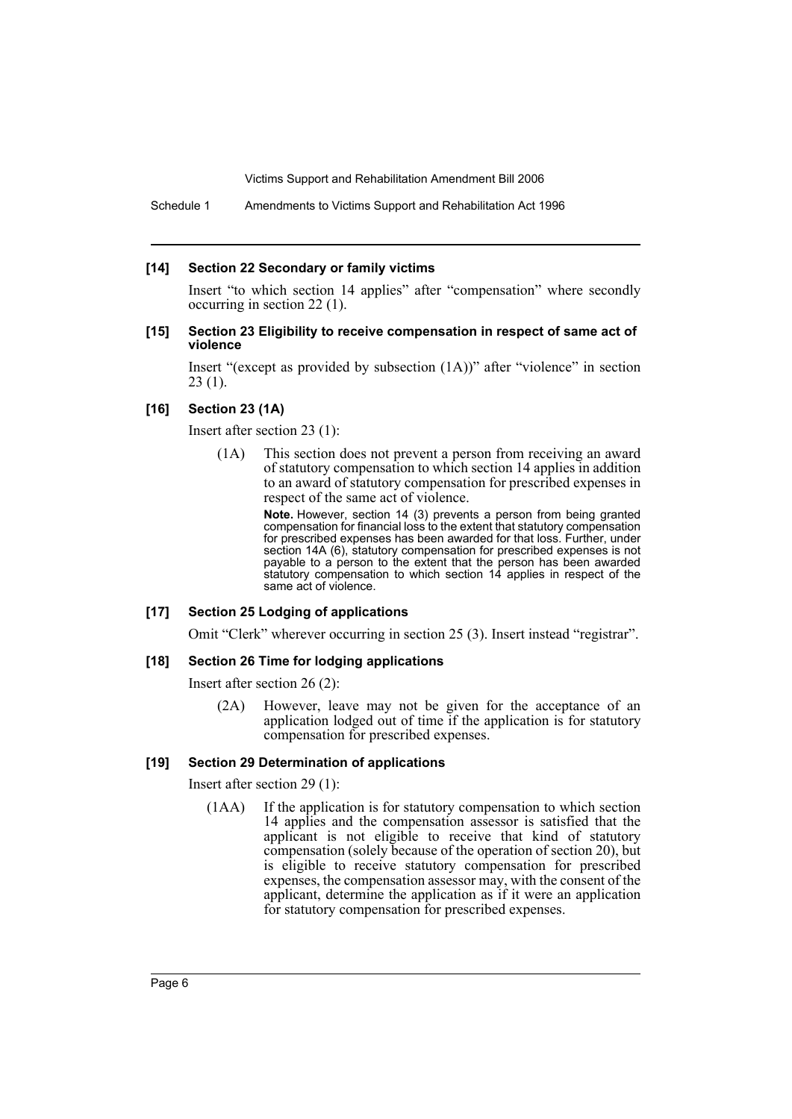#### **[14] Section 22 Secondary or family victims**

Insert "to which section 14 applies" after "compensation" where secondly occurring in section 22 (1).

#### **[15] Section 23 Eligibility to receive compensation in respect of same act of violence**

Insert "(except as provided by subsection (1A))" after "violence" in section 23 (1).

# **[16] Section 23 (1A)**

Insert after section 23 (1):

(1A) This section does not prevent a person from receiving an award of statutory compensation to which section 14 applies in addition to an award of statutory compensation for prescribed expenses in respect of the same act of violence.

> **Note.** However, section 14 (3) prevents a person from being granted compensation for financial loss to the extent that statutory compensation for prescribed expenses has been awarded for that loss. Further, under section 14A (6), statutory compensation for prescribed expenses is not payable to a person to the extent that the person has been awarded statutory compensation to which section 14 applies in respect of the same act of violence.

#### **[17] Section 25 Lodging of applications**

Omit "Clerk" wherever occurring in section 25 (3). Insert instead "registrar".

#### **[18] Section 26 Time for lodging applications**

Insert after section 26 (2):

(2A) However, leave may not be given for the acceptance of an application lodged out of time if the application is for statutory compensation for prescribed expenses.

# **[19] Section 29 Determination of applications**

Insert after section 29 (1):

(1AA) If the application is for statutory compensation to which section 14 applies and the compensation assessor is satisfied that the applicant is not eligible to receive that kind of statutory compensation (solely because of the operation of section 20), but is eligible to receive statutory compensation for prescribed expenses, the compensation assessor may, with the consent of the applicant, determine the application as if it were an application for statutory compensation for prescribed expenses.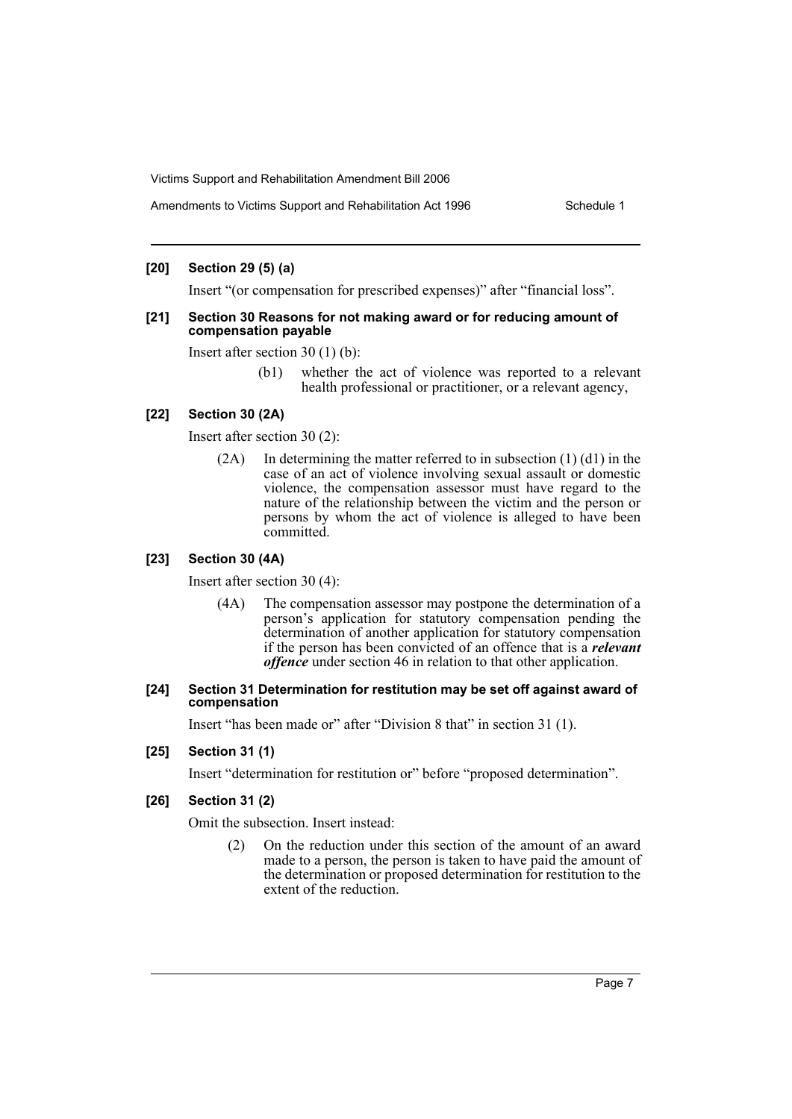## **[20] Section 29 (5) (a)**

Insert "(or compensation for prescribed expenses)" after "financial loss".

#### **[21] Section 30 Reasons for not making award or for reducing amount of compensation payable**

Insert after section 30 (1) (b):

(b1) whether the act of violence was reported to a relevant health professional or practitioner, or a relevant agency,

#### **[22] Section 30 (2A)**

Insert after section 30 (2):

 $(2A)$  In determining the matter referred to in subsection  $(1)$   $(d1)$  in the case of an act of violence involving sexual assault or domestic violence, the compensation assessor must have regard to the nature of the relationship between the victim and the person or persons by whom the act of violence is alleged to have been committed.

#### **[23] Section 30 (4A)**

Insert after section 30 (4):

(4A) The compensation assessor may postpone the determination of a person's application for statutory compensation pending the determination of another application for statutory compensation if the person has been convicted of an offence that is a *relevant offence* under section 46 in relation to that other application.

#### **[24] Section 31 Determination for restitution may be set off against award of compensation**

Insert "has been made or" after "Division 8 that" in section 31 (1).

#### **[25] Section 31 (1)**

Insert "determination for restitution or" before "proposed determination".

# **[26] Section 31 (2)**

Omit the subsection. Insert instead:

(2) On the reduction under this section of the amount of an award made to a person, the person is taken to have paid the amount of the determination or proposed determination for restitution to the extent of the reduction.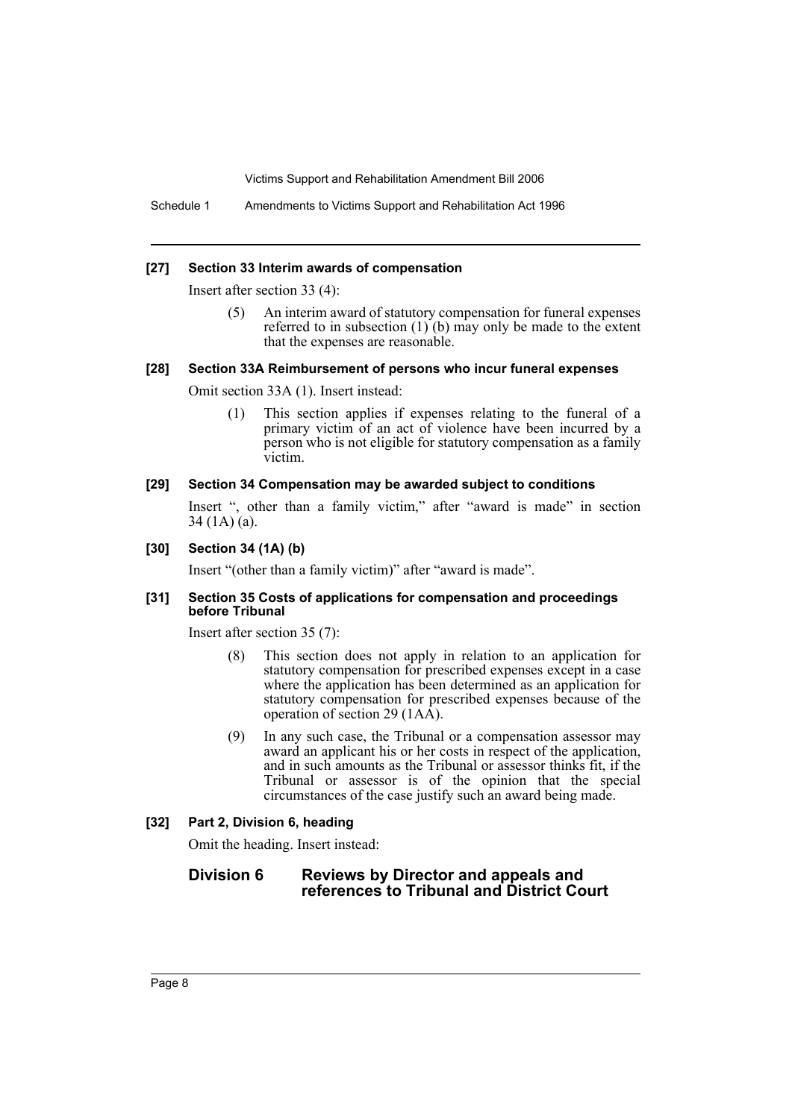Schedule 1 Amendments to Victims Support and Rehabilitation Act 1996

#### **[27] Section 33 Interim awards of compensation**

Insert after section 33 (4):

(5) An interim award of statutory compensation for funeral expenses referred to in subsection  $(1)(b)$  may only be made to the extent that the expenses are reasonable.

#### **[28] Section 33A Reimbursement of persons who incur funeral expenses**

Omit section 33A (1). Insert instead:

(1) This section applies if expenses relating to the funeral of a primary victim of an act of violence have been incurred by a person who is not eligible for statutory compensation as a family victim.

#### **[29] Section 34 Compensation may be awarded subject to conditions**

Insert ", other than a family victim," after "award is made" in section 34 (1A) (a).

#### **[30] Section 34 (1A) (b)**

Insert "(other than a family victim)" after "award is made".

### **[31] Section 35 Costs of applications for compensation and proceedings before Tribunal**

Insert after section 35 (7):

- (8) This section does not apply in relation to an application for statutory compensation for prescribed expenses except in a case where the application has been determined as an application for statutory compensation for prescribed expenses because of the operation of section 29 (1AA).
- (9) In any such case, the Tribunal or a compensation assessor may award an applicant his or her costs in respect of the application, and in such amounts as the Tribunal or assessor thinks fit, if the Tribunal or assessor is of the opinion that the special circumstances of the case justify such an award being made.

# **[32] Part 2, Division 6, heading**

Omit the heading. Insert instead:

# **Division 6 Reviews by Director and appeals and references to Tribunal and District Court**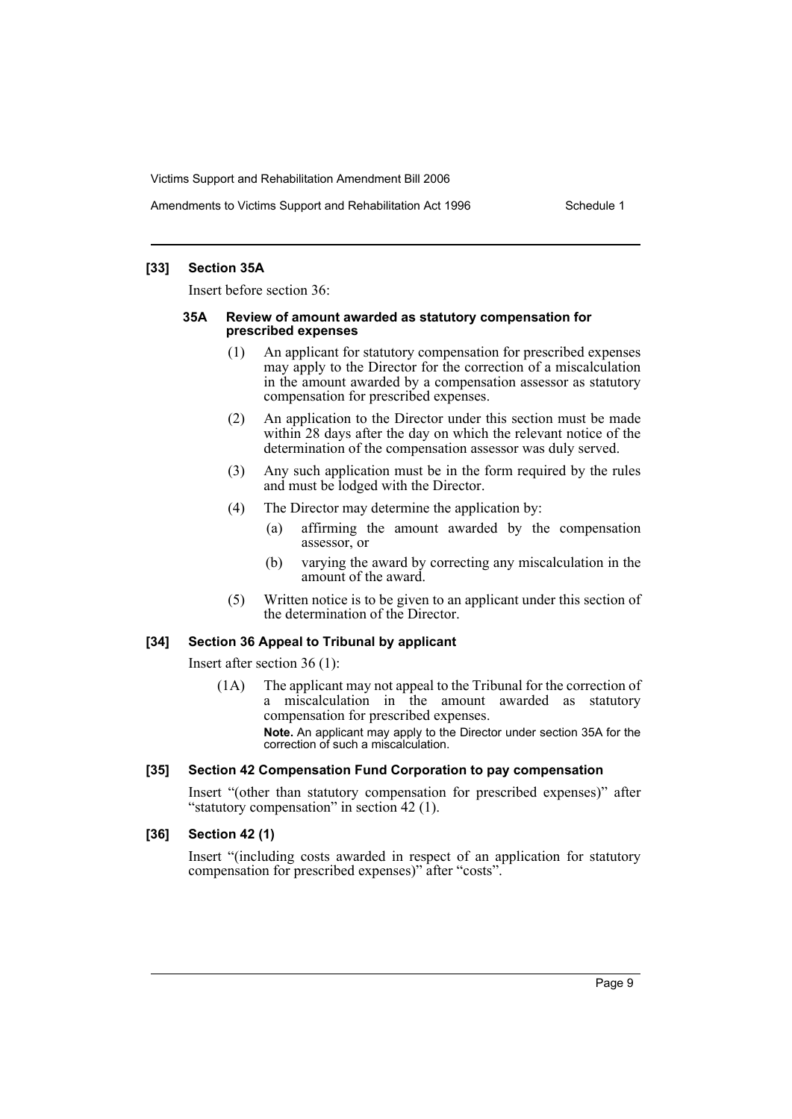#### **[33] Section 35A**

Insert before section 36:

#### **35A Review of amount awarded as statutory compensation for prescribed expenses**

- (1) An applicant for statutory compensation for prescribed expenses may apply to the Director for the correction of a miscalculation in the amount awarded by a compensation assessor as statutory compensation for prescribed expenses.
- (2) An application to the Director under this section must be made within 28 days after the day on which the relevant notice of the determination of the compensation assessor was duly served.
- (3) Any such application must be in the form required by the rules and must be lodged with the Director.
- (4) The Director may determine the application by:
	- (a) affirming the amount awarded by the compensation assessor, or
	- (b) varying the award by correcting any miscalculation in the amount of the award.
- (5) Written notice is to be given to an applicant under this section of the determination of the Director.

#### **[34] Section 36 Appeal to Tribunal by applicant**

Insert after section 36 (1):

(1A) The applicant may not appeal to the Tribunal for the correction of a miscalculation in the amount awarded as statutory compensation for prescribed expenses. **Note.** An applicant may apply to the Director under section 35A for the correction of such a miscalculation.

#### **[35] Section 42 Compensation Fund Corporation to pay compensation**

Insert "(other than statutory compensation for prescribed expenses)" after "statutory compensation" in section 42 (1).

#### **[36] Section 42 (1)**

Insert "(including costs awarded in respect of an application for statutory compensation for prescribed expenses)" after "costs".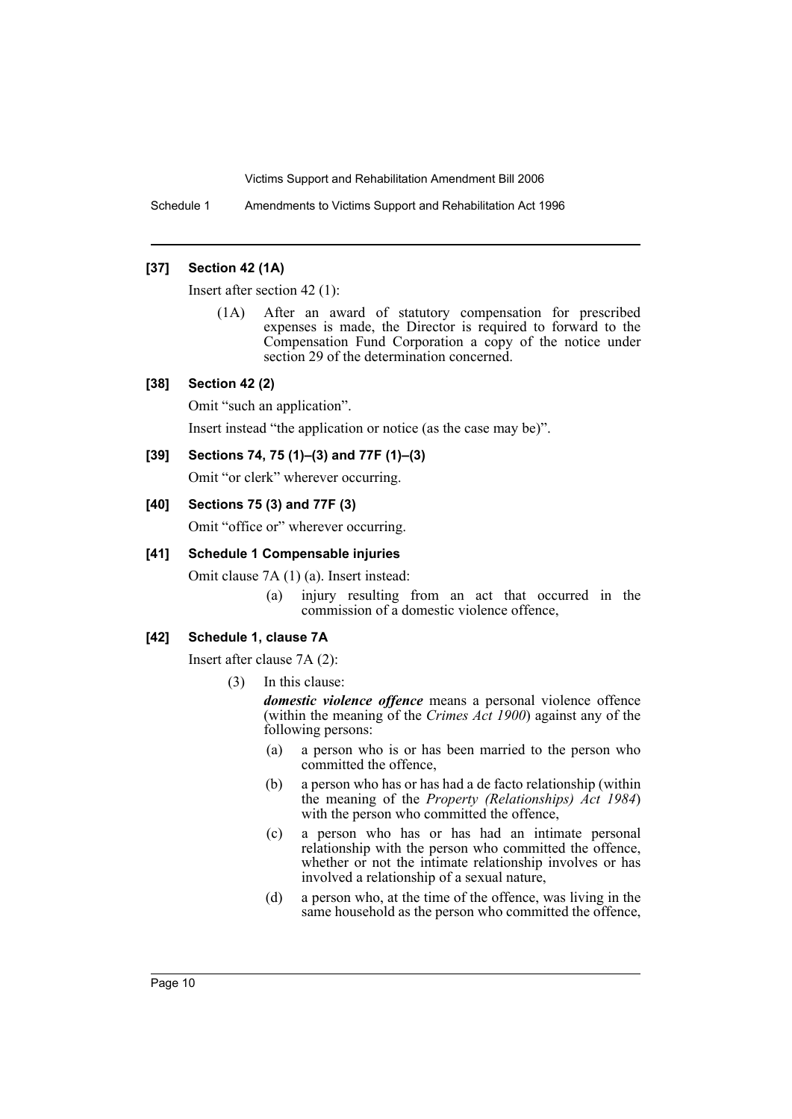Schedule 1 Amendments to Victims Support and Rehabilitation Act 1996

## **[37] Section 42 (1A)**

Insert after section 42 (1):

(1A) After an award of statutory compensation for prescribed expenses is made, the Director is required to forward to the Compensation Fund Corporation a copy of the notice under section 29 of the determination concerned.

### **[38] Section 42 (2)**

Omit "such an application".

Insert instead "the application or notice (as the case may be)".

# **[39] Sections 74, 75 (1)–(3) and 77F (1)–(3)**

Omit "or clerk" wherever occurring.

### **[40] Sections 75 (3) and 77F (3)**

Omit "office or" wherever occurring.

### **[41] Schedule 1 Compensable injuries**

Omit clause 7A (1) (a). Insert instead:

(a) injury resulting from an act that occurred in the commission of a domestic violence offence,

# **[42] Schedule 1, clause 7A**

Insert after clause 7A (2):

(3) In this clause:

*domestic violence offence* means a personal violence offence (within the meaning of the *Crimes Act 1900*) against any of the following persons:

- (a) a person who is or has been married to the person who committed the offence,
- (b) a person who has or has had a de facto relationship (within the meaning of the *Property (Relationships) Act 1984*) with the person who committed the offence,
- (c) a person who has or has had an intimate personal relationship with the person who committed the offence, whether or not the intimate relationship involves or has involved a relationship of a sexual nature,
- (d) a person who, at the time of the offence, was living in the same household as the person who committed the offence,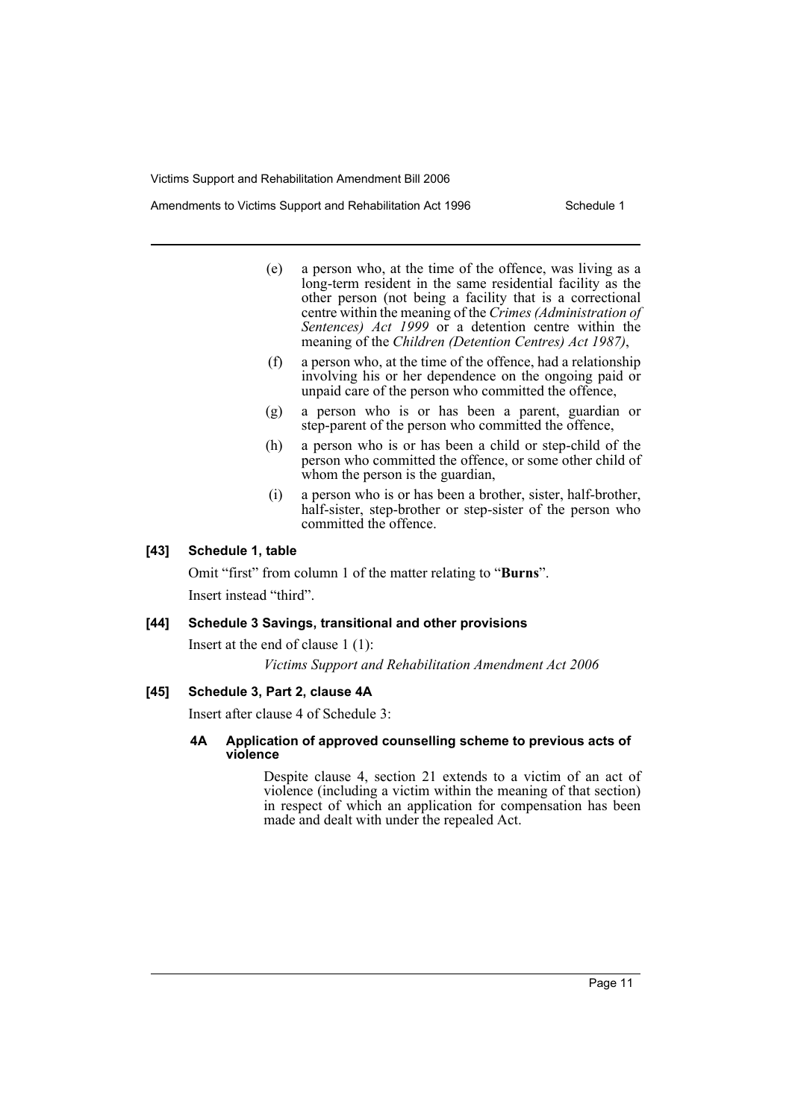- (e) a person who, at the time of the offence, was living as a long-term resident in the same residential facility as the other person (not being a facility that is a correctional centre within the meaning of the *Crimes (Administration of Sentences) Act 1999* or a detention centre within the meaning of the *Children (Detention Centres) Act 1987)*,
- (f) a person who, at the time of the offence, had a relationship involving his or her dependence on the ongoing paid or unpaid care of the person who committed the offence,
- (g) a person who is or has been a parent, guardian or step-parent of the person who committed the offence,
- (h) a person who is or has been a child or step-child of the person who committed the offence, or some other child of whom the person is the guardian,
- (i) a person who is or has been a brother, sister, half-brother, half-sister, step-brother or step-sister of the person who committed the offence.

### **[43] Schedule 1, table**

Omit "first" from column 1 of the matter relating to "**Burns**". Insert instead "third".

#### **[44] Schedule 3 Savings, transitional and other provisions**

Insert at the end of clause 1 (1):

*Victims Support and Rehabilitation Amendment Act 2006*

### **[45] Schedule 3, Part 2, clause 4A**

Insert after clause 4 of Schedule 3:

# **4A Application of approved counselling scheme to previous acts of violence**

Despite clause 4, section 21 extends to a victim of an act of violence (including a victim within the meaning of that section) in respect of which an application for compensation has been made and dealt with under the repealed Act.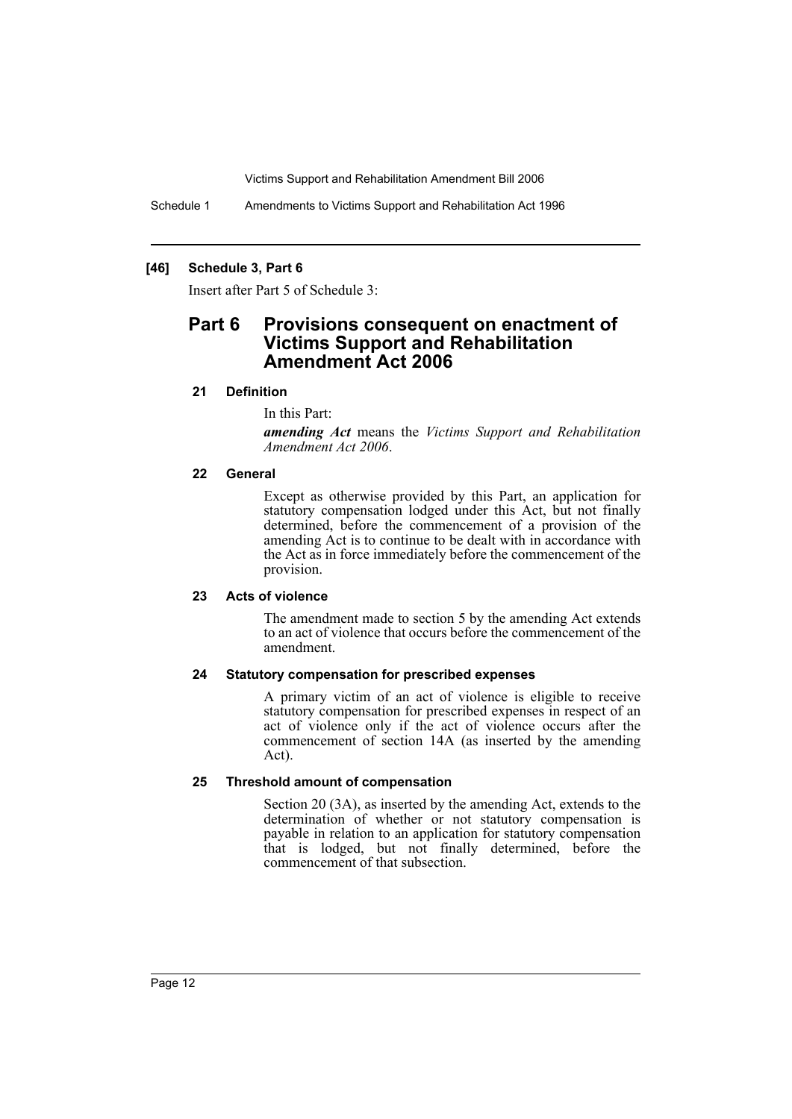Schedule 1 Amendments to Victims Support and Rehabilitation Act 1996

# **[46] Schedule 3, Part 6**

Insert after Part 5 of Schedule 3:

# **Part 6 Provisions consequent on enactment of Victims Support and Rehabilitation Amendment Act 2006**

### **21 Definition**

In this Part:

*amending Act* means the *Victims Support and Rehabilitation Amendment Act 2006*.

#### **22 General**

Except as otherwise provided by this Part, an application for statutory compensation lodged under this Act, but not finally determined, before the commencement of a provision of the amending Act is to continue to be dealt with in accordance with the Act as in force immediately before the commencement of the provision.

#### **23 Acts of violence**

The amendment made to section 5 by the amending Act extends to an act of violence that occurs before the commencement of the amendment.

#### **24 Statutory compensation for prescribed expenses**

A primary victim of an act of violence is eligible to receive statutory compensation for prescribed expenses in respect of an act of violence only if the act of violence occurs after the commencement of section 14A (as inserted by the amending Act).

# **25 Threshold amount of compensation**

Section 20 (3A), as inserted by the amending Act, extends to the determination of whether or not statutory compensation is payable in relation to an application for statutory compensation that is lodged, but not finally determined, before the commencement of that subsection.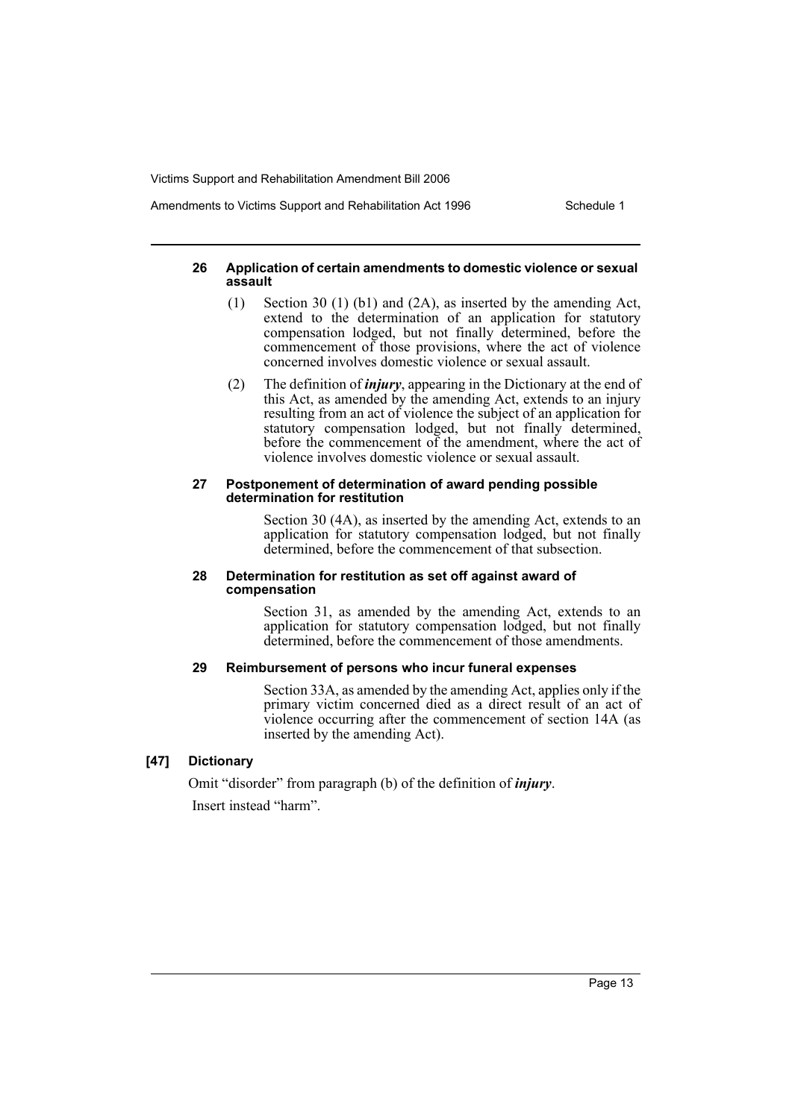#### Amendments to Victims Support and Rehabilitation Act 1996 Schedule 1

#### **26 Application of certain amendments to domestic violence or sexual assault**

- (1) Section 30 (1) (b1) and (2A), as inserted by the amending Act, extend to the determination of an application for statutory compensation lodged, but not finally determined, before the commencement of those provisions, where the act of violence concerned involves domestic violence or sexual assault.
- (2) The definition of *injury*, appearing in the Dictionary at the end of this Act, as amended by the amending Act, extends to an injury resulting from an act of violence the subject of an application for statutory compensation lodged, but not finally determined, before the commencement of the amendment, where the act of violence involves domestic violence or sexual assault.

#### **27 Postponement of determination of award pending possible determination for restitution**

Section 30 (4A), as inserted by the amending Act, extends to an application for statutory compensation lodged, but not finally determined, before the commencement of that subsection.

#### **28 Determination for restitution as set off against award of compensation**

Section 31, as amended by the amending Act, extends to an application for statutory compensation lodged, but not finally determined, before the commencement of those amendments.

# **29 Reimbursement of persons who incur funeral expenses**

Section 33A, as amended by the amending Act, applies only if the primary victim concerned died as a direct result of an act of violence occurring after the commencement of section 14A (as inserted by the amending Act).

# **[47] Dictionary**

Omit "disorder" from paragraph (b) of the definition of *injury*. Insert instead "harm".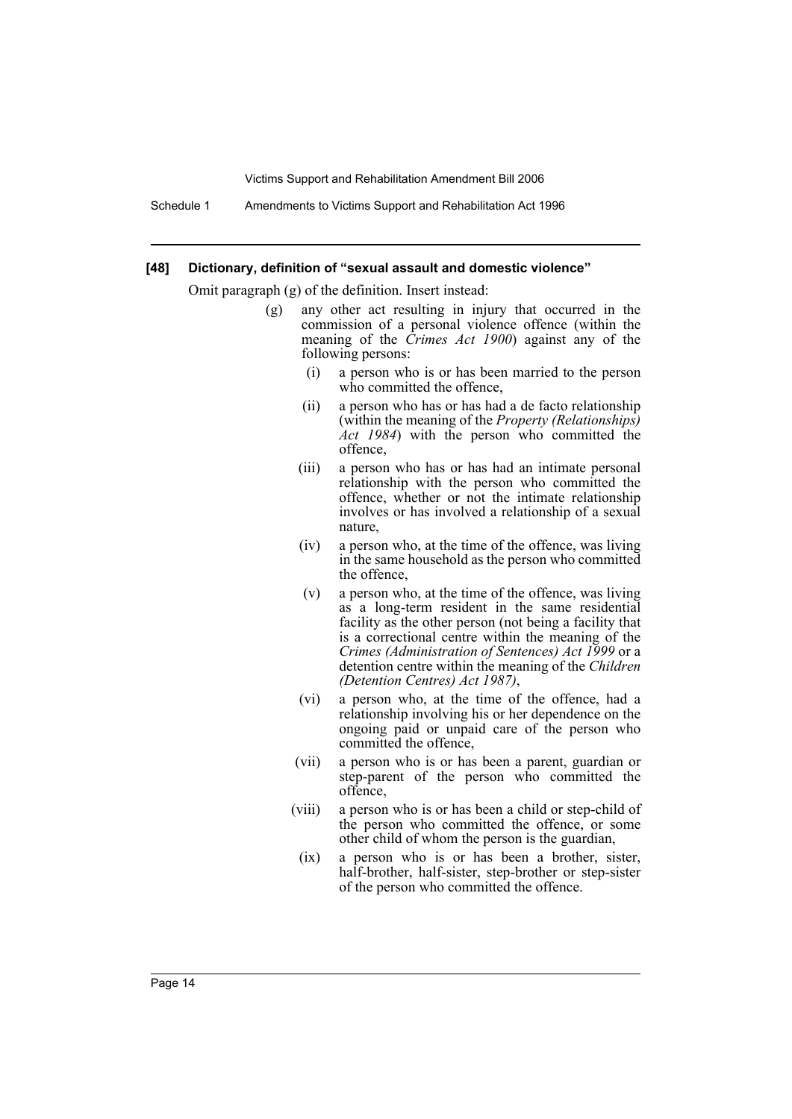Schedule 1 Amendments to Victims Support and Rehabilitation Act 1996

#### **[48] Dictionary, definition of "sexual assault and domestic violence"**

Omit paragraph (g) of the definition. Insert instead:

- (g) any other act resulting in injury that occurred in the commission of a personal violence offence (within the meaning of the *Crimes Act 1900*) against any of the following persons:
	- (i) a person who is or has been married to the person who committed the offence,
	- (ii) a person who has or has had a de facto relationship (within the meaning of the *Property (Relationships) Act 1984*) with the person who committed the offence,
	- (iii) a person who has or has had an intimate personal relationship with the person who committed the offence, whether or not the intimate relationship involves or has involved a relationship of a sexual nature,
	- (iv) a person who, at the time of the offence, was living in the same household as the person who committed the offence,
	- (v) a person who, at the time of the offence, was living as a long-term resident in the same residential facility as the other person (not being a facility that is a correctional centre within the meaning of the *Crimes (Administration of Sentences) Act 1999* or a detention centre within the meaning of the *Children (Detention Centres) Act 1987)*,
	- (vi) a person who, at the time of the offence, had a relationship involving his or her dependence on the ongoing paid or unpaid care of the person who committed the offence,
	- (vii) a person who is or has been a parent, guardian or step-parent of the person who committed the offence,
	- (viii) a person who is or has been a child or step-child of the person who committed the offence, or some other child of whom the person is the guardian,
		- (ix) a person who is or has been a brother, sister, half-brother, half-sister, step-brother or step-sister of the person who committed the offence.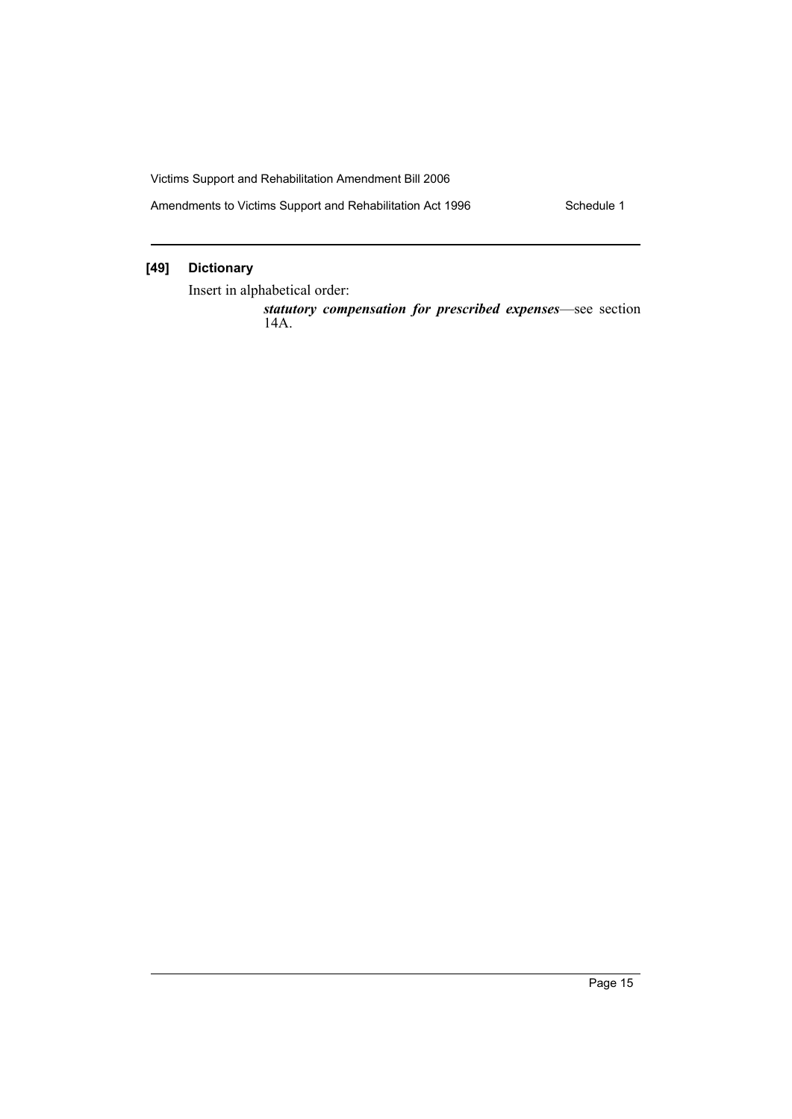Amendments to Victims Support and Rehabilitation Act 1996 Schedule 1

# **[49] Dictionary**

Insert in alphabetical order:

*statutory compensation for prescribed expenses*—see section 14A.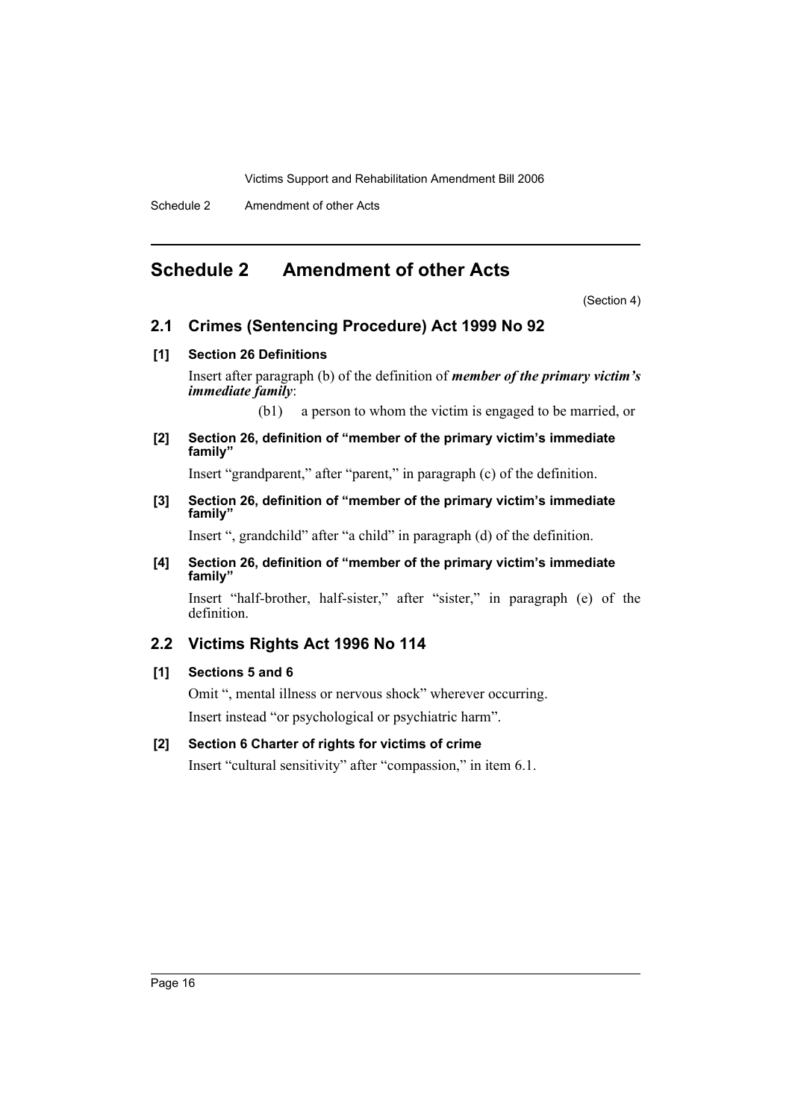Schedule 2 Amendment of other Acts

# **Schedule 2 Amendment of other Acts**

(Section 4)

# **2.1 Crimes (Sentencing Procedure) Act 1999 No 92**

# **[1] Section 26 Definitions**

Insert after paragraph (b) of the definition of *member of the primary victim's immediate family*:

(b1) a person to whom the victim is engaged to be married, or

### **[2] Section 26, definition of "member of the primary victim's immediate family"**

Insert "grandparent," after "parent," in paragraph (c) of the definition.

### **[3] Section 26, definition of "member of the primary victim's immediate family"**

Insert ", grandchild" after "a child" in paragraph (d) of the definition.

# **[4] Section 26, definition of "member of the primary victim's immediate family"**

Insert "half-brother, half-sister," after "sister," in paragraph (e) of the definition.

# **2.2 Victims Rights Act 1996 No 114**

# **[1] Sections 5 and 6**

Omit ", mental illness or nervous shock" wherever occurring. Insert instead "or psychological or psychiatric harm".

# **[2] Section 6 Charter of rights for victims of crime**

Insert "cultural sensitivity" after "compassion," in item 6.1.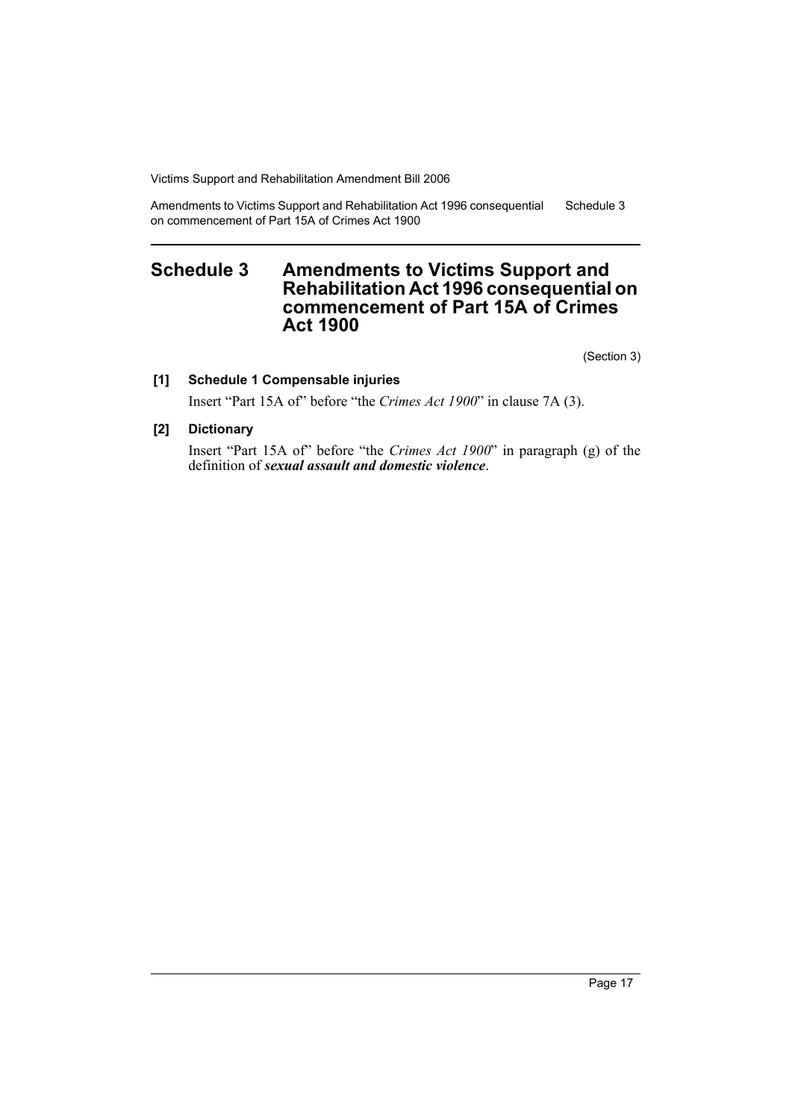Amendments to Victims Support and Rehabilitation Act 1996 consequential on commencement of Part 15A of Crimes Act 1900 Schedule 3

# **Schedule 3 Amendments to Victims Support and Rehabilitation Act 1996 consequential on commencement of Part 15A of Crimes Act 1900**

(Section 3)

### **[1] Schedule 1 Compensable injuries**

Insert "Part 15A of" before "the *Crimes Act 1900*" in clause 7A (3).

# **[2] Dictionary**

Insert "Part 15A of" before "the *Crimes Act 1900*" in paragraph (g) of the definition of *sexual assault and domestic violence*.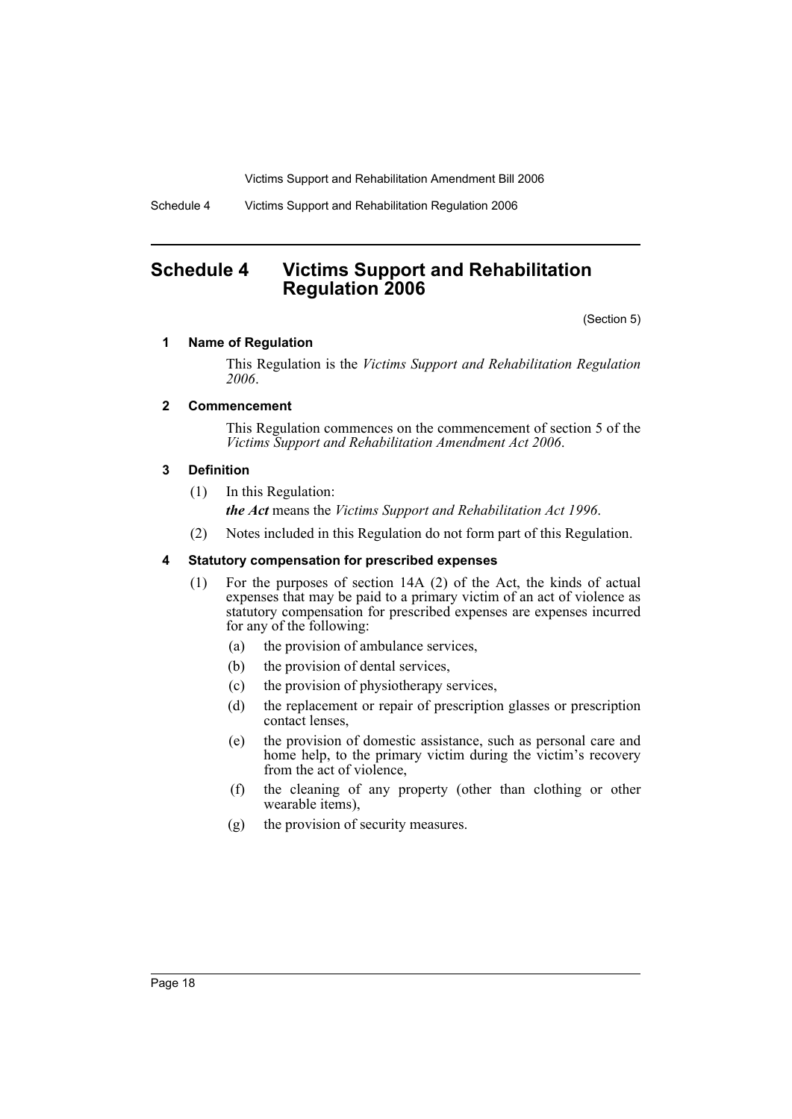Schedule 4 Victims Support and Rehabilitation Regulation 2006

# **Schedule 4 Victims Support and Rehabilitation Regulation 2006**

(Section 5)

# **1 Name of Regulation**

This Regulation is the *Victims Support and Rehabilitation Regulation 2006*.

## **2 Commencement**

This Regulation commences on the commencement of section 5 of the *Victims Support and Rehabilitation Amendment Act 2006*.

#### **3 Definition**

(1) In this Regulation:

*the Act* means the *Victims Support and Rehabilitation Act 1996*.

(2) Notes included in this Regulation do not form part of this Regulation.

# **4 Statutory compensation for prescribed expenses**

- (1) For the purposes of section 14A (2) of the Act, the kinds of actual expenses that may be paid to a primary victim of an act of violence as statutory compensation for prescribed expenses are expenses incurred for any of the following:
	- (a) the provision of ambulance services,
	- (b) the provision of dental services,
	- (c) the provision of physiotherapy services,
	- (d) the replacement or repair of prescription glasses or prescription contact lenses,
	- (e) the provision of domestic assistance, such as personal care and home help, to the primary victim during the victim's recovery from the act of violence,
	- (f) the cleaning of any property (other than clothing or other wearable items),
	- (g) the provision of security measures.